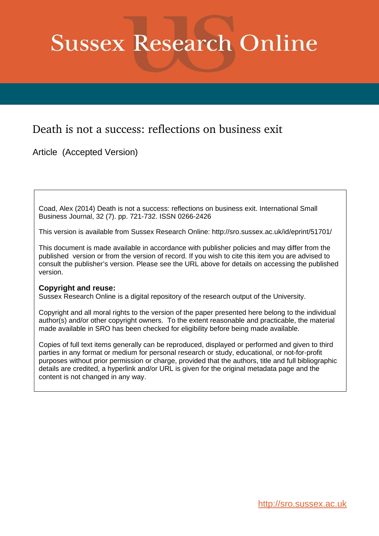# **Sussex Research Online**

## Death is not a success: reflections on business exit

Article (Accepted Version)

Coad, Alex (2014) Death is not a success: reflections on business exit. International Small Business Journal, 32 (7). pp. 721-732. ISSN 0266-2426

This version is available from Sussex Research Online: http://sro.sussex.ac.uk/id/eprint/51701/

This document is made available in accordance with publisher policies and may differ from the published version or from the version of record. If you wish to cite this item you are advised to consult the publisher's version. Please see the URL above for details on accessing the published version.

## **Copyright and reuse:**

Sussex Research Online is a digital repository of the research output of the University.

Copyright and all moral rights to the version of the paper presented here belong to the individual author(s) and/or other copyright owners. To the extent reasonable and practicable, the material made available in SRO has been checked for eligibility before being made available.

Copies of full text items generally can be reproduced, displayed or performed and given to third parties in any format or medium for personal research or study, educational, or not-for-profit purposes without prior permission or charge, provided that the authors, title and full bibliographic details are credited, a hyperlink and/or URL is given for the original metadata page and the content is not changed in any way.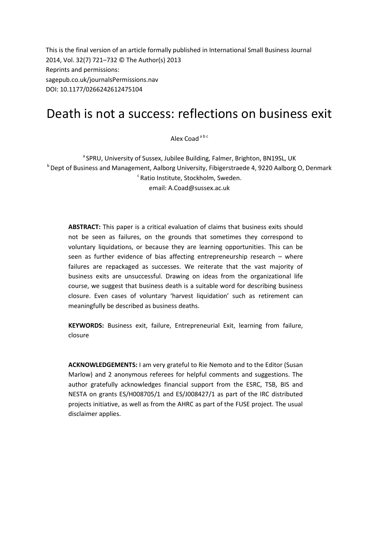This is the final version of an article formally published in International Small Business Journal 2014, Vol. 32(7) 721–732 © The Author(s) 2013 Reprints and permissions: sagepub.co.uk/journalsPermissions.nav DOI: 10.1177/0266242612475104

# Death is not a success: reflections on business exit

Alex Coad a b c

<sup>a</sup> SPRU, University of Sussex, Jubilee Building, Falmer, Brighton, BN19SL, UK <sup>b</sup> Dept of Business and Management, Aalborg University, Fibigerstraede 4, 9220 Aalborg O, Denmark c Ratio Institute, Stockholm, Sweden. email: A.Coad@sussex.ac.uk

**ABSTRACT:** This paper is a critical evaluation of claims that business exits should not be seen as failures, on the grounds that sometimes they correspond to voluntary liquidations, or because they are learning opportunities. This can be seen as further evidence of bias affecting entrepreneurship research – where failures are repackaged as successes. We reiterate that the vast majority of business exits are unsuccessful. Drawing on ideas from the organizational life course, we suggest that business death is a suitable word for describing business closure. Even cases of voluntary 'harvest liquidation' such as retirement can meaningfully be described as business deaths.

**KEYWORDS:** Business exit, failure, Entrepreneurial Exit, learning from failure, closure

**ACKNOWLEDGEMENTS:** I am very grateful to Rie Nemoto and to the Editor (Susan Marlow) and 2 anonymous referees for helpful comments and suggestions. The author gratefully acknowledges financial support from the ESRC, TSB, BIS and NESTA on grants ES/H008705/1 and ES/J008427/1 as part of the IRC distributed projects initiative, as well as from the AHRC as part of the FUSE project. The usual disclaimer applies.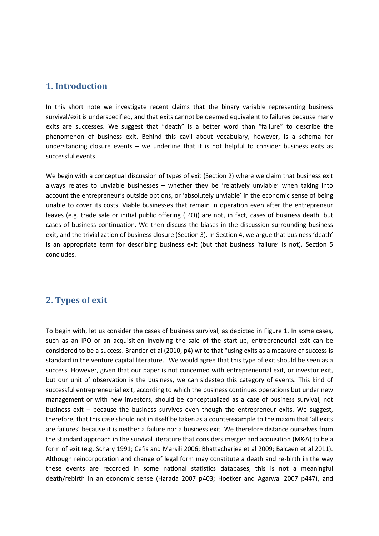## **1. Introduction**

In this short note we investigate recent claims that the binary variable representing business survival/exit is underspecified, and that exits cannot be deemed equivalent to failures because many exits are successes. We suggest that "death" is a better word than "failure" to describe the phenomenon of business exit. Behind this cavil about vocabulary, however, is a schema for understanding closure events – we underline that it is not helpful to consider business exits as successful events.

We begin with a conceptual discussion of types of exit (Section 2) where we claim that business exit always relates to unviable businesses – whether they be 'relatively unviable' when taking into account the entrepreneur's outside options, or 'absolutely unviable' in the economic sense of being unable to cover its costs. Viable businesses that remain in operation even after the entrepreneur leaves (e.g. trade sale or initial public offering (IPO)) are not, in fact, cases of business death, but cases of business continuation. We then discuss the biases in the discussion surrounding business exit, and the trivialization of business closure (Section 3). In Section 4, we argue that business 'death' is an appropriate term for describing business exit (but that business 'failure' is not). Section 5 concludes.

## **2. Types of exit**

To begin with, let us consider the cases of business survival, as depicted in Figure 1. In some cases, such as an IPO or an acquisition involving the sale of the start-up, entrepreneurial exit can be considered to be a success. Brander et al (2010, p4) write that "using exits as a measure of success is standard in the venture capital literature." We would agree that this type of exit should be seen as a success. However, given that our paper is not concerned with entrepreneurial exit, or investor exit, but our unit of observation is the business, we can sidestep this category of events. This kind of successful entrepreneurial exit, according to which the business continues operations but under new management or with new investors, should be conceptualized as a case of business survival, not business exit – because the business survives even though the entrepreneur exits. We suggest, therefore, that this case should not in itself be taken as a counterexample to the maxim that 'all exits are failures' because it is neither a failure nor a business exit. We therefore distance ourselves from the standard approach in the survival literature that considers merger and acquisition (M&A) to be a form of exit (e.g. Schary 1991; Cefis and Marsili 2006; Bhattacharjee et al 2009; Balcaen et al 2011). Although reincorporation and change of legal form may constitute a death and re-birth in the way these events are recorded in some national statistics databases, this is not a meaningful death/rebirth in an economic sense (Harada 2007 p403; Hoetker and Agarwal 2007 p447), and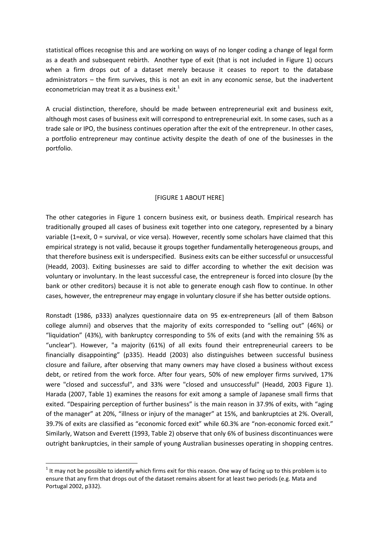statistical offices recognise this and are working on ways of no longer coding a change of legal form as a death and subsequent rebirth. Another type of exit (that is not included in Figure 1) occurs when a firm drops out of a dataset merely because it ceases to report to the database administrators – the firm survives, this is not an exit in any economic sense, but the inadvertent econometrician may treat it as a business exit.<sup>1</sup>

A crucial distinction, therefore, should be made between entrepreneurial exit and business exit, although most cases of business exit will correspond to entrepreneurial exit. In some cases, such as a trade sale or IPO, the business continues operation after the exit of the entrepreneur. In other cases, a portfolio entrepreneur may continue activity despite the death of one of the businesses in the portfolio.

### [FIGURE 1 ABOUT HERE]

The other categories in Figure 1 concern business exit, or business death. Empirical research has traditionally grouped all cases of business exit together into one category, represented by a binary variable (1=exit, 0 = survival, or vice versa). However, recently some scholars have claimed that this empirical strategy is not valid, because it groups together fundamentally heterogeneous groups, and that therefore business exit is underspecified. Business exits can be either successful or unsuccessful (Headd, 2003). Exiting businesses are said to differ according to whether the exit decision was voluntary or involuntary. In the least successful case, the entrepreneur is forced into closure (by the bank or other creditors) because it is not able to generate enough cash flow to continue. In other cases, however, the entrepreneur may engage in voluntary closure if she has better outside options.

Ronstadt (1986, p333) analyzes questionnaire data on 95 ex-entrepreneurs (all of them Babson college alumni) and observes that the majority of exits corresponded to "selling out" (46%) or "liquidation" (43%), with bankruptcy corresponding to 5% of exits (and with the remaining 5% as "unclear"). However, "a majority (61%) of all exits found their entrepreneurial careers to be financially disappointing" (p335). Headd (2003) also distinguishes between successful business closure and failure, after observing that many owners may have closed a business without excess debt, or retired from the work force. After four years, 50% of new employer firms survived, 17% were "closed and successful", and 33% were "closed and unsuccessful" (Headd, 2003 Figure 1). Harada (2007, Table 1) examines the reasons for exit among a sample of Japanese small firms that exited. "Despairing perception of further business" is the main reason in 37.9% of exits, with "aging of the manager" at 20%, "illness or injury of the manager" at 15%, and bankruptcies at 2%. Overall, 39.7% of exits are classified as "economic forced exit" while 60.3% are "non-economic forced exit." Similarly, Watson and Everett (1993, Table 2) observe that only 6% of business discontinuances were outright bankruptcies, in their sample of young Australian businesses operating in shopping centres.

**.** 

 $1$  It may not be possible to identify which firms exit for this reason. One way of facing up to this problem is to ensure that any firm that drops out of the dataset remains absent for at least two periods (e.g. Mata and Portugal 2002, p332).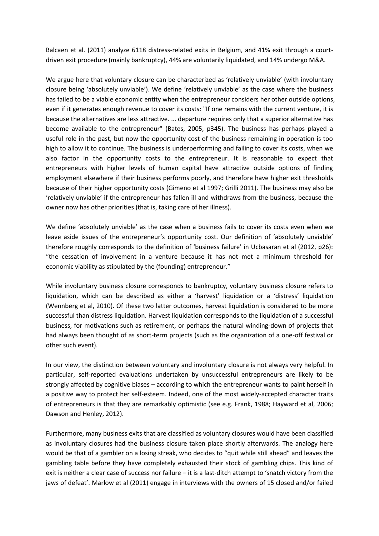Balcaen et al. (2011) analyze 6118 distress-related exits in Belgium, and 41% exit through a courtdriven exit procedure (mainly bankruptcy), 44% are voluntarily liquidated, and 14% undergo M&A.

We argue here that voluntary closure can be characterized as 'relatively unviable' (with involuntary closure being 'absolutely unviable'). We define 'relatively unviable' as the case where the business has failed to be a viable economic entity when the entrepreneur considers her other outside options, even if it generates enough revenue to cover its costs: "If one remains with the current venture, it is because the alternatives are less attractive. ... departure requires only that a superior alternative has become available to the entrepreneur" (Bates, 2005, p345). The business has perhaps played a useful role in the past, but now the opportunity cost of the business remaining in operation is too high to allow it to continue. The business is underperforming and failing to cover its costs, when we also factor in the opportunity costs to the entrepreneur. It is reasonable to expect that entrepreneurs with higher levels of human capital have attractive outside options of finding employment elsewhere if their business performs poorly, and therefore have higher exit thresholds because of their higher opportunity costs (Gimeno et al 1997; Grilli 2011). The business may also be 'relatively unviable' if the entrepreneur has fallen ill and withdraws from the business, because the owner now has other priorities (that is, taking care of her illness).

We define 'absolutely unviable' as the case when a business fails to cover its costs even when we leave aside issues of the entrepreneur's opportunity cost. Our definition of 'absolutely unviable' therefore roughly corresponds to the definition of 'business failure' in Ucbasaran et al (2012, p26): "the cessation of involvement in a venture because it has not met a minimum threshold for economic viability as stipulated by the (founding) entrepreneur."

While involuntary business closure corresponds to bankruptcy, voluntary business closure refers to liquidation, which can be described as either a 'harvest' liquidation or a 'distress' liquidation (Wennberg et al, 2010). Of these two latter outcomes, harvest liquidation is considered to be more successful than distress liquidation. Harvest liquidation corresponds to the liquidation of a successful business, for motivations such as retirement, or perhaps the natural winding-down of projects that had always been thought of as short-term projects (such as the organization of a one-off festival or other such event).

In our view, the distinction between voluntary and involuntary closure is not always very helpful. In particular, self-reported evaluations undertaken by unsuccessful entrepreneurs are likely to be strongly affected by cognitive biases – according to which the entrepreneur wants to paint herself in a positive way to protect her self-esteem. Indeed, one of the most widely-accepted character traits of entrepreneurs is that they are remarkably optimistic (see e.g. Frank, 1988; Hayward et al, 2006; Dawson and Henley, 2012).

Furthermore, many business exits that are classified as voluntary closures would have been classified as involuntary closures had the business closure taken place shortly afterwards. The analogy here would be that of a gambler on a losing streak, who decides to "quit while still ahead" and leaves the gambling table before they have completely exhausted their stock of gambling chips. This kind of exit is neither a clear case of success nor failure – it is a last-ditch attempt to 'snatch victory from the jaws of defeat'. Marlow et al (2011) engage in interviews with the owners of 15 closed and/or failed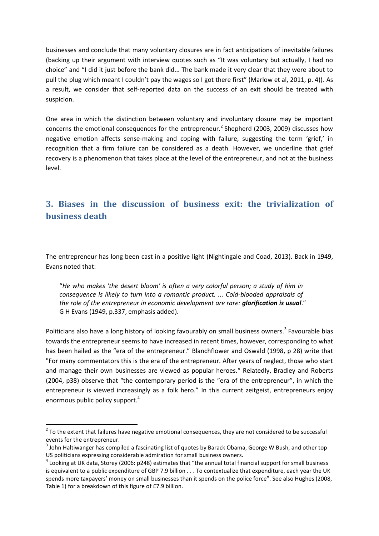businesses and conclude that many voluntary closures are in fact anticipations of inevitable failures (backing up their argument with interview quotes such as "It was voluntary but actually, I had no choice" and "I did it just before the bank did... The bank made it very clear that they were about to pull the plug which meant I couldn't pay the wages so I got there first" (Marlow et al, 2011, p. 4)). As a result, we consider that self-reported data on the success of an exit should be treated with suspicion.

One area in which the distinction between voluntary and involuntary closure may be important concerns the emotional consequences for the entrepreneur.<sup>2</sup> Shepherd (2003, 2009) discusses how negative emotion affects sense-making and coping with failure, suggesting the term 'grief,' in recognition that a firm failure can be considered as a death. However, we underline that grief recovery is a phenomenon that takes place at the level of the entrepreneur, and not at the business level.

## **3. Biases in the discussion of business exit: the trivialization of business death**

The entrepreneur has long been cast in a positive light (Nightingale and Coad, 2013). Back in 1949, Evans noted that:

"*He who makes 'the desert bloom' is often a very colorful person; a study of him in consequence is likely to turn into a romantic product. ... Cold-blooded appraisals of the role of the entrepreneur in economic development are rare: glorification is usual*." G H Evans (1949, p.337, emphasis added).

Politicians also have a long history of looking favourably on small business owners.<sup>3</sup> Favourable bias towards the entrepreneur seems to have increased in recent times, however, corresponding to what has been hailed as the "era of the entrepreneur." Blanchflower and Oswald (1998, p 28) write that "For many commentators this is the era of the entrepreneur. After years of neglect, those who start and manage their own businesses are viewed as popular heroes." Relatedly, Bradley and Roberts (2004, p38) observe that "the contemporary period is the "era of the entrepreneur", in which the entrepreneur is viewed increasingly as a folk hero." In this current zeitgeist, entrepreneurs enjoy enormous public policy support.<sup>4</sup>

**.** 

 $2$  To the extent that failures have negative emotional consequences, they are not considered to be successful events for the entrepreneur.

 $^3$  John Haltiwanger has compiled a fascinating list of quotes by Barack Obama, George W Bush, and other top US politicians expressing considerable admiration for small business owners.

 $^4$  Looking at UK data, Storey (2006: p248) estimates that "the annual total financial support for small business is equivalent to a public expenditure of GBP 7.9 billion . . . To contextualize that expenditure, each year the UK spends more taxpayers' money on small businesses than it spends on the police force". See also Hughes (2008, Table 1) for a breakdown of this figure of £7.9 billion.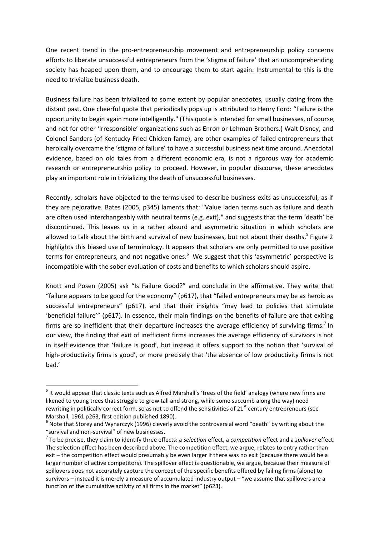One recent trend in the pro-entrepreneurship movement and entrepreneurship policy concerns efforts to liberate unsuccessful entrepreneurs from the 'stigma of failure' that an uncomprehending society has heaped upon them, and to encourage them to start again. Instrumental to this is the need to trivialize business death.

Business failure has been trivialized to some extent by popular anecdotes, usually dating from the distant past. One cheerful quote that periodically pops up is attributed to Henry Ford: "Failure is the opportunity to begin again more intelligently." (This quote is intended for small businesses, of course, and not for other 'irresponsible' organizations such as Enron or Lehman Brothers.) Walt Disney, and Colonel Sanders (of Kentucky Fried Chicken fame), are other examples of failed entrepreneurs that heroically overcame the 'stigma of failure' to have a successful business next time around. Anecdotal evidence, based on old tales from a different economic era, is not a rigorous way for academic research or entrepreneurship policy to proceed. However, in popular discourse, these anecdotes play an important role in trivializing the death of unsuccessful businesses.

Recently, scholars have objected to the terms used to describe business exits as unsuccessful, as if they are pejorative. Bates (2005, p345) laments that: "Value laden terms such as failure and death are often used interchangeably with neutral terms (e.g. exit)," and suggests that the term 'death' be discontinued. This leaves us in a rather absurd and asymmetric situation in which scholars are allowed to talk about the birth and survival of new businesses, but not about their deaths.<sup>5</sup> Figure 2 highlights this biased use of terminology. It appears that scholars are only permitted to use positive terms for entrepreneurs, and not negative ones. $6\,$  We suggest that this 'asymmetric' perspective is incompatible with the sober evaluation of costs and benefits to which scholars should aspire.

Knott and Posen (2005) ask "Is Failure Good?" and conclude in the affirmative. They write that "failure appears to be good for the economy" (p617), that "failed entrepreneurs may be as heroic as successful entrepreneurs" (p617), and that their insights "may lead to policies that stimulate 'beneficial failure'" (p617). In essence, their main findings on the benefits of failure are that exiting firms are so inefficient that their departure increases the average efficiency of surviving firms.<sup>7</sup> In our view, the finding that exit of inefficient firms increases the average efficiency of survivors is not in itself evidence that 'failure is good', but instead it offers support to the notion that 'survival of high-productivity firms is good', or more precisely that 'the absence of low productivity firms is not bad.'

1

<sup>&</sup>lt;sup>5</sup> It would appear that classic texts such as Alfred Marshall's 'trees of the field' analogy (where new firms are likened to young trees that struggle to grow tall and strong, while some succumb along the way) need rewriting in politically correct form, so as not to offend the sensitivities of  $21<sup>st</sup>$  century entrepreneurs (see Marshall, 1961 p263, first edition published 1890).

 $^6$  Note that Storey and Wynarczyk (1996) cleverly avoid the controversial word "death" by writing about the "survival and non-survival" of new businesses.

<sup>7</sup> To be precise, they claim to identify three effects: a *selection* effect, a *competition* effect and a *spillover* effect. The selection effect has been described above. The competition effect, we argue, relates to entry rather than exit – the competition effect would presumably be even larger if there was no exit (because there would be a larger number of active competitors). The spillover effect is questionable, we argue, because their measure of spillovers does not accurately capture the concept of the specific benefits offered by failing firms (alone) to survivors – instead it is merely a measure of accumulated industry output – "we assume that spillovers are a function of the cumulative activity of all firms in the market" (p623).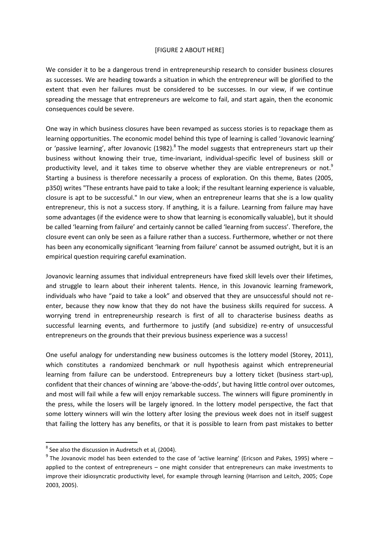#### [FIGURE 2 ABOUT HERE]

We consider it to be a dangerous trend in entrepreneurship research to consider business closures as successes. We are heading towards a situation in which the entrepreneur will be glorified to the extent that even her failures must be considered to be successes. In our view, if we continue spreading the message that entrepreneurs are welcome to fail, and start again, then the economic consequences could be severe.

One way in which business closures have been revamped as success stories is to repackage them as learning opportunities. The economic model behind this type of learning is called 'Jovanovic learning' or 'passive learning', after Jovanovic (1982).<sup>8</sup> The model suggests that entrepreneurs start up their business without knowing their true, time-invariant, individual-specific level of business skill or productivity level, and it takes time to observe whether they are viable entrepreneurs or not.<sup>9</sup> Starting a business is therefore necessarily a process of exploration. On this theme, Bates (2005, p350) writes "These entrants have paid to take a look; if the resultant learning experience is valuable, closure is apt to be successful." In our view, when an entrepreneur learns that she is a low quality entrepreneur, this is not a success story. If anything, it is a failure. Learning from failure may have some advantages (if the evidence were to show that learning is economically valuable), but it should be called 'learning from failure' and certainly cannot be called 'learning from success'. Therefore, the closure event can only be seen as a failure rather than a success. Furthermore, whether or not there has been any economically significant 'learning from failure' cannot be assumed outright, but it is an empirical question requiring careful examination.

Jovanovic learning assumes that individual entrepreneurs have fixed skill levels over their lifetimes, and struggle to learn about their inherent talents. Hence, in this Jovanovic learning framework, individuals who have "paid to take a look" and observed that they are unsuccessful should not reenter, because they now know that they do not have the business skills required for success. A worrying trend in entrepreneurship research is first of all to characterise business deaths as successful learning events, and furthermore to justify (and subsidize) re-entry of unsuccessful entrepreneurs on the grounds that their previous business experience was a success!

One useful analogy for understanding new business outcomes is the lottery model (Storey, 2011), which constitutes a randomized benchmark or null hypothesis against which entrepreneurial learning from failure can be understood. Entrepreneurs buy a lottery ticket (business start-up), confident that their chances of winning are 'above-the-odds', but having little control over outcomes, and most will fail while a few will enjoy remarkable success. The winners will figure prominently in the press, while the losers will be largely ignored. In the lottery model perspective, the fact that some lottery winners will win the lottery after losing the previous week does not in itself suggest that failing the lottery has any benefits, or that it is possible to learn from past mistakes to better

 8 See also the discussion in Audretsch et al, (2004).

 $^{9}$  The Jovanovic model has been extended to the case of 'active learning' (Ericson and Pakes, 1995) where  $$ applied to the context of entrepreneurs – one might consider that entrepreneurs can make investments to improve their idiosyncratic productivity level, for example through learning (Harrison and Leitch, 2005; Cope 2003, 2005).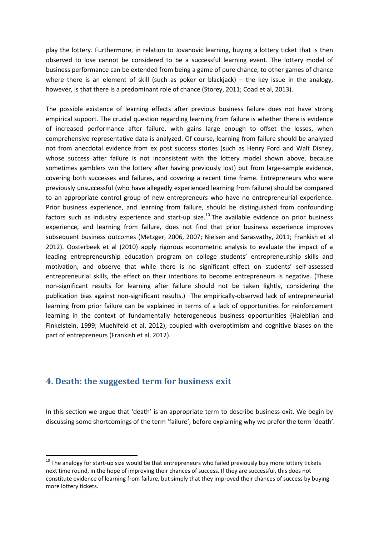play the lottery. Furthermore, in relation to Jovanovic learning, buying a lottery ticket that is then observed to lose cannot be considered to be a successful learning event. The lottery model of business performance can be extended from being a game of pure chance, to other games of chance where there is an element of skill (such as poker or blackjack) – the key issue in the analogy, however, is that there is a predominant role of chance (Storey, 2011; Coad et al, 2013).

The possible existence of learning effects after previous business failure does not have strong empirical support. The crucial question regarding learning from failure is whether there is evidence of increased performance after failure, with gains large enough to offset the losses, when comprehensive representative data is analyzed. Of course, learning from failure should be analyzed not from anecdotal evidence from ex post success stories (such as Henry Ford and Walt Disney, whose success after failure is not inconsistent with the lottery model shown above, because sometimes gamblers win the lottery after having previously lost) but from large-sample evidence, covering both successes and failures, and covering a recent time frame. Entrepreneurs who were previously unsuccessful (who have allegedly experienced learning from failure) should be compared to an appropriate control group of new entrepreneurs who have no entrepreneurial experience. Prior business experience, and learning from failure, should be distinguished from confounding factors such as industry experience and start-up size.<sup>10</sup> The available evidence on prior business experience, and learning from failure, does not find that prior business experience improves subsequent business outcomes (Metzger, 2006, 2007; Nielsen and Sarasvathy, 2011; Frankish et al 2012). Oosterbeek et al (2010) apply rigorous econometric analysis to evaluate the impact of a leading entrepreneurship education program on college students' entrepreneurship skills and motivation, and observe that while there is no significant effect on students' self-assessed entrepreneurial skills, the effect on their intentions to become entrepreneurs is negative. (These non-significant results for learning after failure should not be taken lightly, considering the publication bias against non-significant results.) The empirically-observed lack of entrepreneurial learning from prior failure can be explained in terms of a lack of opportunities for reinforcement learning in the context of fundamentally heterogeneous business opportunities (Haleblian and Finkelstein, 1999; Muehlfeld et al, 2012), coupled with overoptimism and cognitive biases on the part of entrepreneurs (Frankish et al, 2012).

## **4. Death: the suggested term for business exit**

**.** 

In this section we argue that 'death' is an appropriate term to describe business exit. We begin by discussing some shortcomings of the term 'failure', before explaining why we prefer the term 'death'.

 $10$  The analogy for start-up size would be that entrepreneurs who failed previously buy more lottery tickets next time round, in the hope of improving their chances of success. If they are successful, this does not constitute evidence of learning from failure, but simply that they improved their chances of success by buying more lottery tickets.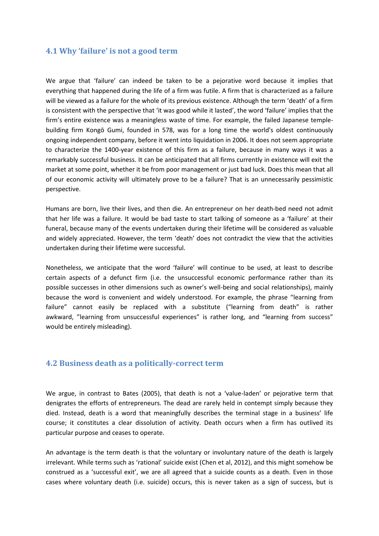## **4.1 Why 'failure' is not a good term**

We argue that 'failure' can indeed be taken to be a pejorative word because it implies that everything that happened during the life of a firm was futile. A firm that is characterized as a failure will be viewed as a failure for the whole of its previous existence. Although the term 'death' of a firm is consistent with the perspective that 'it was good while it lasted', the word 'failure' implies that the firm's entire existence was a meaningless waste of time. For example, the failed Japanese templebuilding firm Kongō Gumi, founded in 578, was for a long time the world's oldest continuously ongoing independent company, before it went into liquidation in 2006. It does not seem appropriate to characterize the 1400-year existence of this firm as a failure, because in many ways it was a remarkably successful business. It can be anticipated that all firms currently in existence will exit the market at some point, whether it be from poor management or just bad luck. Does this mean that all of our economic activity will ultimately prove to be a failure? That is an unnecessarily pessimistic perspective.

Humans are born, live their lives, and then die. An entrepreneur on her death-bed need not admit that her life was a failure. It would be bad taste to start talking of someone as a 'failure' at their funeral, because many of the events undertaken during their lifetime will be considered as valuable and widely appreciated. However, the term 'death' does not contradict the view that the activities undertaken during their lifetime were successful.

Nonetheless, we anticipate that the word 'failure' will continue to be used, at least to describe certain aspects of a defunct firm (i.e. the unsuccessful economic performance rather than its possible successes in other dimensions such as owner's well-being and social relationships), mainly because the word is convenient and widely understood. For example, the phrase "learning from failure" cannot easily be replaced with a substitute ("learning from death" is rather awkward, "learning from unsuccessful experiences" is rather long, and "learning from success" would be entirely misleading).

### **4.2 Business death as a politically-correct term**

We argue, in contrast to Bates (2005), that death is not a 'value-laden' or pejorative term that denigrates the efforts of entrepreneurs. The dead are rarely held in contempt simply because they died. Instead, death is a word that meaningfully describes the terminal stage in a business' life course; it constitutes a clear dissolution of activity. Death occurs when a firm has outlived its particular purpose and ceases to operate.

An advantage is the term death is that the voluntary or involuntary nature of the death is largely irrelevant. While terms such as 'rational' suicide exist (Chen et al, 2012), and this might somehow be construed as a 'successful exit', we are all agreed that a suicide counts as a death. Even in those cases where voluntary death (i.e. suicide) occurs, this is never taken as a sign of success, but is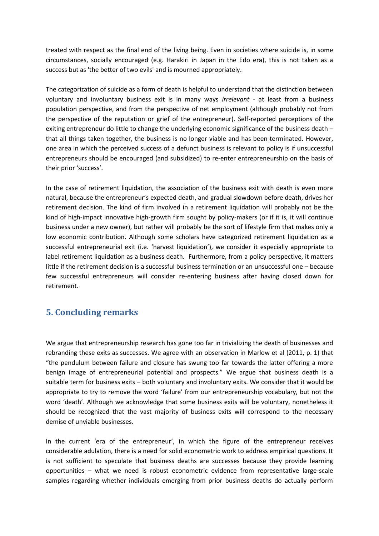treated with respect as the final end of the living being. Even in societies where suicide is, in some circumstances, socially encouraged (e.g. Harakiri in Japan in the Edo era), this is not taken as a success but as 'the better of two evils' and is mourned appropriately.

The categorization of suicide as a form of death is helpful to understand that the distinction between voluntary and involuntary business exit is in many ways *irrelevant -* at least from a business population perspective, and from the perspective of net employment (although probably not from the perspective of the reputation or grief of the entrepreneur). Self-reported perceptions of the exiting entrepreneur do little to change the underlying economic significance of the business death – that all things taken together, the business is no longer viable and has been terminated. However, one area in which the perceived success of a defunct business is relevant to policy is if unsuccessful entrepreneurs should be encouraged (and subsidized) to re-enter entrepreneurship on the basis of their prior 'success'.

In the case of retirement liquidation, the association of the business exit with death is even more natural, because the entrepreneur's expected death, and gradual slowdown before death, drives her retirement decision. The kind of firm involved in a retirement liquidation will probably not be the kind of high-impact innovative high-growth firm sought by policy-makers (or if it is, it will continue business under a new owner), but rather will probably be the sort of lifestyle firm that makes only a low economic contribution. Although some scholars have categorized retirement liquidation as a successful entrepreneurial exit (i.e. 'harvest liquidation'), we consider it especially appropriate to label retirement liquidation as a business death. Furthermore, from a policy perspective, it matters little if the retirement decision is a successful business termination or an unsuccessful one – because few successful entrepreneurs will consider re-entering business after having closed down for retirement.

## **5. Concluding remarks**

We argue that entrepreneurship research has gone too far in trivializing the death of businesses and rebranding these exits as successes. We agree with an observation in Marlow et al (2011, p. 1) that "the pendulum between failure and closure has swung too far towards the latter offering a more benign image of entrepreneurial potential and prospects." We argue that business death is a suitable term for business exits – both voluntary and involuntary exits. We consider that it would be appropriate to try to remove the word 'failure' from our entrepreneurship vocabulary, but not the word 'death'. Although we acknowledge that some business exits will be voluntary, nonetheless it should be recognized that the vast majority of business exits will correspond to the necessary demise of unviable businesses.

In the current 'era of the entrepreneur', in which the figure of the entrepreneur receives considerable adulation, there is a need for solid econometric work to address empirical questions. It is not sufficient to speculate that business deaths are successes because they provide learning opportunities – what we need is robust econometric evidence from representative large-scale samples regarding whether individuals emerging from prior business deaths do actually perform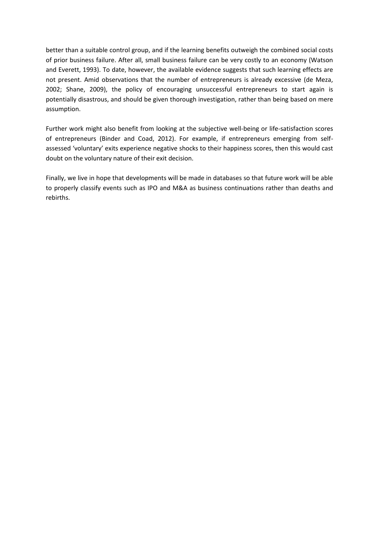better than a suitable control group, and if the learning benefits outweigh the combined social costs of prior business failure. After all, small business failure can be very costly to an economy (Watson and Everett, 1993). To date, however, the available evidence suggests that such learning effects are not present. Amid observations that the number of entrepreneurs is already excessive (de Meza, 2002; Shane, 2009), the policy of encouraging unsuccessful entrepreneurs to start again is potentially disastrous, and should be given thorough investigation, rather than being based on mere assumption.

Further work might also benefit from looking at the subjective well-being or life-satisfaction scores of entrepreneurs (Binder and Coad, 2012). For example, if entrepreneurs emerging from selfassessed 'voluntary' exits experience negative shocks to their happiness scores, then this would cast doubt on the voluntary nature of their exit decision.

Finally, we live in hope that developments will be made in databases so that future work will be able to properly classify events such as IPO and M&A as business continuations rather than deaths and rebirths.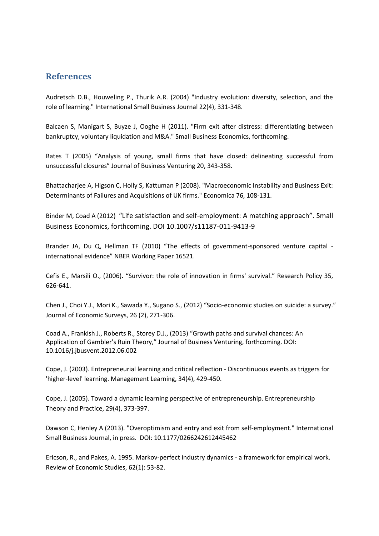## **References**

Audretsch D.B., Houweling P., Thurik A.R. (2004) "Industry evolution: diversity, selection, and the role of learning." International Small Business Journal 22(4), 331-348.

Balcaen S, Manigart S, Buyze J, Ooghe H (2011). "Firm exit after distress: differentiating between bankruptcy, voluntary liquidation and M&A." Small Business Economics, forthcoming.

Bates T (2005) "Analysis of young, small firms that have closed: delineating successful from unsuccessful closures" Journal of Business Venturing 20, 343-358.

Bhattacharjee A, Higson C, Holly S, Kattuman P (2008). "Macroeconomic Instability and Business Exit: Determinants of Failures and Acquisitions of UK firms." Economica 76, 108-131.

Binder M, Coad A (2012) "Life satisfaction and self-employment: A matching approach". Small Business Economics, forthcoming. DOI 10.1007/s11187-011-9413-9

Brander JA, Du Q, Hellman TF (2010) "The effects of government-sponsored venture capital international evidence" NBER Working Paper 16521.

Cefis E., Marsili O., (2006). "Survivor: the role of innovation in firms' survival." Research Policy 35, 626-641.

Chen J., Choi Y.J., Mori K., Sawada Y., Sugano S., (2012) "Socio-economic studies on suicide: a survey." Journal of Economic Surveys, 26 (2), 271-306.

Coad A., Frankish J., Roberts R., Storey D.J., (2013) "Growth paths and survival chances: An Application of Gambler's Ruin Theory," Journal of Business Venturing, forthcoming. DOI: 10.1016/j.jbusvent.2012.06.002

Cope, J. (2003). Entrepreneurial learning and critical reflection - Discontinuous events as triggers for 'higher-level' learning. Management Learning, 34(4), 429-450.

Cope, J. (2005). Toward a dynamic learning perspective of entrepreneurship. Entrepreneurship Theory and Practice, 29(4), 373-397.

Dawson C, Henley A (2013). "Overoptimism and entry and exit from self-employment." International Small Business Journal, in press. DOI: 10.1177/0266242612445462

Ericson, R., and Pakes, A. 1995. Markov-perfect industry dynamics - a framework for empirical work. Review of Economic Studies, 62(1): 53-82.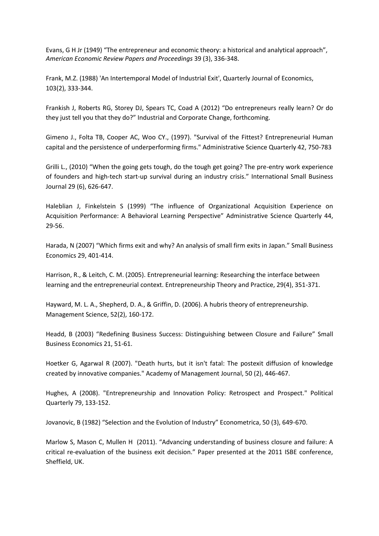Evans, G H Jr (1949) "The entrepreneur and economic theory: a historical and analytical approach", *American Economic Review Papers and Proceedings* 39 (3), 336-348.

Frank, M.Z. (1988) 'An Intertemporal Model of Industrial Exit', Quarterly Journal of Economics, 103(2), 333-344.

Frankish J, Roberts RG, Storey DJ, Spears TC, Coad A (2012) "Do entrepreneurs really learn? Or do they just tell you that they do?" Industrial and Corporate Change, forthcoming.

Gimeno J., Folta TB, Cooper AC, Woo CY., (1997). "Survival of the Fittest? Entrepreneurial Human capital and the persistence of underperforming firms." Administrative Science Quarterly 42, 750-783

Grilli L., (2010) "When the going gets tough, do the tough get going? The pre-entry work experience of founders and high-tech start-up survival during an industry crisis." International Small Business Journal 29 (6), 626-647.

Haleblian J, Finkelstein S (1999) "The influence of Organizational Acquisition Experience on Acquisition Performance: A Behavioral Learning Perspective" Administrative Science Quarterly 44, 29-56.

Harada, N (2007) "Which firms exit and why? An analysis of small firm exits in Japan." Small Business Economics 29, 401-414.

Harrison, R., & Leitch, C. M. (2005). Entrepreneurial learning: Researching the interface between learning and the entrepreneurial context. Entrepreneurship Theory and Practice, 29(4), 351-371.

Hayward, M. L. A., Shepherd, D. A., & Griffin, D. (2006). A hubris theory of entrepreneurship. Management Science, 52(2), 160-172.

Headd, B (2003) "Redefining Business Success: Distinguishing between Closure and Failure" Small Business Economics 21, 51-61.

Hoetker G, Agarwal R (2007). "Death hurts, but it isn't fatal: The postexit diffusion of knowledge created by innovative companies." Academy of Management Journal, 50 (2), 446-467.

Hughes, A (2008). "Entrepreneurship and Innovation Policy: Retrospect and Prospect." Political Quarterly 79, 133-152.

Jovanovic, B (1982) "Selection and the Evolution of Industry" Econometrica, 50 (3), 649-670.

Marlow S, Mason C, Mullen H (2011). "Advancing understanding of business closure and failure: A critical re-evaluation of the business exit decision." Paper presented at the 2011 ISBE conference, Sheffield, UK.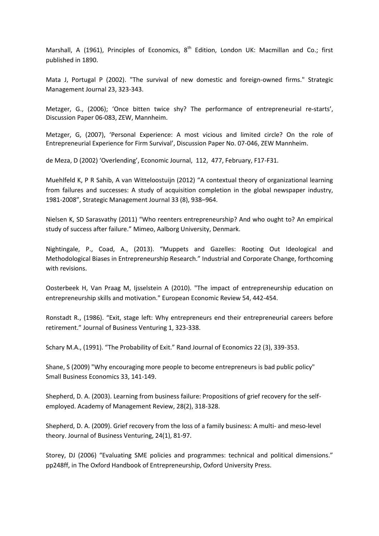Marshall, A (1961), Principles of Economics,  $8^{th}$  Edition, London UK: Macmillan and Co.; first published in 1890.

Mata J, Portugal P (2002). "The survival of new domestic and foreign-owned firms." Strategic Management Journal 23, 323-343.

Metzger, G., (2006); 'Once bitten twice shy? The performance of entrepreneurial re-starts', Discussion Paper 06-083, ZEW, Mannheim.

Metzger, G, (2007), 'Personal Experience: A most vicious and limited circle? On the role of Entrepreneurial Experience for Firm Survival', Discussion Paper No. 07-046, ZEW Mannheim.

de Meza, D (2002) 'Overlending', Economic Journal, 112, 477, February, F17-F31.

Muehlfeld K, P R Sahib, A van Witteloostuijn (2012) "A contextual theory of organizational learning from failures and successes: A study of acquisition completion in the global newspaper industry, 1981-2008", Strategic Management Journal 33 (8), 938–964.

Nielsen K, SD Sarasvathy (2011) "Who reenters entrepreneurship? And who ought to? An empirical study of success after failure." Mimeo, Aalborg University, Denmark.

Nightingale, P., Coad, A., (2013). "Muppets and Gazelles: Rooting Out Ideological and Methodological Biases in Entrepreneurship Research." Industrial and Corporate Change, forthcoming with revisions.

Oosterbeek H, Van Praag M, Ijsselstein A (2010). "The impact of entrepreneurship education on entrepreneurship skills and motivation." European Economic Review 54, 442-454.

Ronstadt R., (1986). "Exit, stage left: Why entrepreneurs end their entrepreneurial careers before retirement." Journal of Business Venturing 1, 323-338.

Schary M.A., (1991). "The Probability of Exit." Rand Journal of Economics 22 (3), 339-353.

Shane, S (2009) "Why encouraging more people to become entrepreneurs is bad public policy" Small Business Economics 33, 141-149.

Shepherd, D. A. (2003). Learning from business failure: Propositions of grief recovery for the selfemployed. Academy of Management Review, 28(2), 318-328.

Shepherd, D. A. (2009). Grief recovery from the loss of a family business: A multi- and meso-level theory. Journal of Business Venturing, 24(1), 81-97.

Storey, DJ (2006) "Evaluating SME policies and programmes: technical and political dimensions." pp248ff, in The Oxford Handbook of Entrepreneurship, Oxford University Press.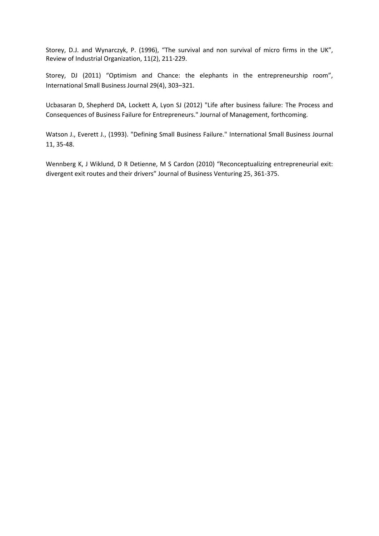Storey, D.J. and Wynarczyk, P. (1996), "The survival and non survival of micro firms in the UK", Review of Industrial Organization, 11(2), 211-229.

Storey, DJ (2011) "Optimism and Chance: the elephants in the entrepreneurship room", International Small Business Journal 29(4), 303–321.

Ucbasaran D, Shepherd DA, Lockett A, Lyon SJ (2012) "Life after business failure: The Process and Consequences of Business Failure for Entrepreneurs." Journal of Management, forthcoming.

Watson J., Everett J., (1993). "Defining Small Business Failure." International Small Business Journal 11, 35-48.

Wennberg K, J Wiklund, D R Detienne, M S Cardon (2010) "Reconceptualizing entrepreneurial exit: divergent exit routes and their drivers" Journal of Business Venturing 25, 361-375.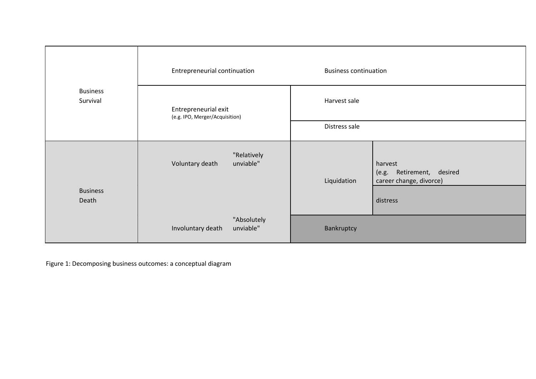|                             | Entrepreneurial continuation                  | <b>Business continuation</b>                                                      |
|-----------------------------|-----------------------------------------------|-----------------------------------------------------------------------------------|
| <b>Business</b><br>Survival | Entrepreneurial exit                          | Harvest sale                                                                      |
|                             | (e.g. IPO, Merger/Acquisition)                | Distress sale                                                                     |
| <b>Business</b><br>Death    | "Relatively<br>Voluntary death<br>unviable"   | harvest<br>Retirement, desired<br>(e.g.<br>career change, divorce)<br>Liquidation |
|                             |                                               | distress                                                                          |
|                             | "Absolutely<br>unviable"<br>Involuntary death | Bankruptcy                                                                        |

Figure 1: Decomposing business outcomes: a conceptual diagram